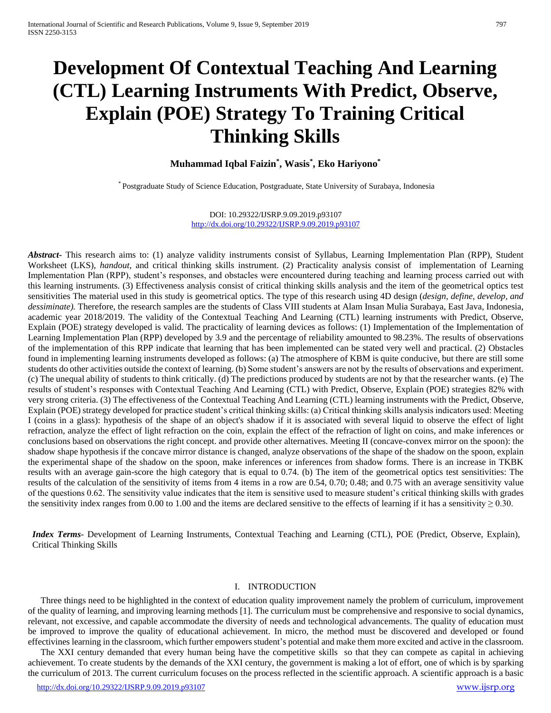# **Development Of Contextual Teaching And Learning (CTL) Learning Instruments With Predict, Observe, Explain (POE) Strategy To Training Critical Thinking Skills**

# **Muhammad Iqbal Faizin\* , Wasis\* , Eko Hariyono\***

\* Postgraduate Study of Science Education, Postgraduate, State University of Surabaya, Indonesia

DOI: 10.29322/IJSRP.9.09.2019.p93107 <http://dx.doi.org/10.29322/IJSRP.9.09.2019.p93107>

*Abstract***-** This research aims to: (1) analyze validity instruments consist of Syllabus, Learning Implementation Plan (RPP), Student Worksheet (LKS), *handout*, and critical thinking skills instrument. (2) Practicality analysis consist of implementation of Learning Implementation Plan (RPP), student's responses, and obstacles were encountered during teaching and learning process carried out with this learning instruments. (3) Effectiveness analysis consist of critical thinking skills analysis and the item of the geometrical optics test sensitivities The material used in this study is geometrical optics. The type of this research using 4D design (*design, define, develop, and dessiminate).* Therefore, the research samples are the students of Class VIII students at Alam Insan Mulia Surabaya, East Java, Indonesia, academic year 2018/2019. The validity of the Contextual Teaching And Learning (CTL) learning instruments with Predict, Observe, Explain (POE) strategy developed is valid. The practicality of learning devices as follows: (1) Implementation of the Implementation of Learning Implementation Plan (RPP) developed by 3.9 and the percentage of reliability amounted to 98.23%. The results of observations of the implementation of this RPP indicate that learning that has been implemented can be stated very well and practical. (2) Obstacles found in implementing learning instruments developed as follows: (a) The atmosphere of KBM is quite conducive, but there are still some students do other activities outside the context of learning. (b) Some student's answers are not by the results of observations and experiment. (c) The unequal ability of students to think critically. (d) The predictions produced by students are not by that the researcher wants. (e) The results of student's responses with Contextual Teaching And Learning (CTL) with Predict, Observe, Explain (POE) strategies 82% with very strong criteria. (3) The effectiveness of the Contextual Teaching And Learning (CTL) learning instruments with the Predict, Observe, Explain (POE) strategy developed for practice student's critical thinking skills: (a) Critical thinking skills analysis indicators used: Meeting I (coins in a glass): hypothesis of the shape of an object's shadow if it is associated with several liquid to observe the effect of light refraction, analyze the effect of light refraction on the coin, explain the effect of the refraction of light on coins, and make inferences or conclusions based on observations the right concept. and provide other alternatives. Meeting II (concave-convex mirror on the spoon): the shadow shape hypothesis if the concave mirror distance is changed, analyze observations of the shape of the shadow on the spoon, explain the experimental shape of the shadow on the spoon, make inferences or inferences from shadow forms. There is an increase in TKBK results with an average gain-score the high category that is equal to 0.74. (b) The item of the geometrical optics test sensitivities: The results of the calculation of the sensitivity of items from 4 items in a row are 0.54, 0.70; 0.48; and 0.75 with an average sensitivity value of the questions 0.62. The sensitivity value indicates that the item is sensitive used to measure student's critical thinking skills with grades the sensitivity index ranges from 0.00 to 1.00 and the items are declared sensitive to the effects of learning if it has a sensitivity  $\geq 0.30$ .

*Index Terms*- Development of Learning Instruments, Contextual Teaching and Learning (CTL), POE (Predict, Observe, Explain), Critical Thinking Skills

#### I. INTRODUCTION

Three things need to be highlighted in the context of education quality improvement namely the problem of curriculum, improvement of the quality of learning, and improving learning methods [1]. The curriculum must be comprehensive and responsive to social dynamics, relevant, not excessive, and capable accommodate the diversity of needs and technological advancements. The quality of education must be improved to improve the quality of educational achievement. In micro, the method must be discovered and developed or found effectivines learning in the classroom, which further empowers student's potential and make them more excited and active in the classroom.

The XXI century demanded that every human being have the competitive skills so that they can compete as capital in achieving achievement. To create students by the demands of the XXI century, the government is making a lot of effort, one of which is by sparking the curriculum of 2013. The current curriculum focuses on the process reflected in the scientific approach. A scientific approach is a basic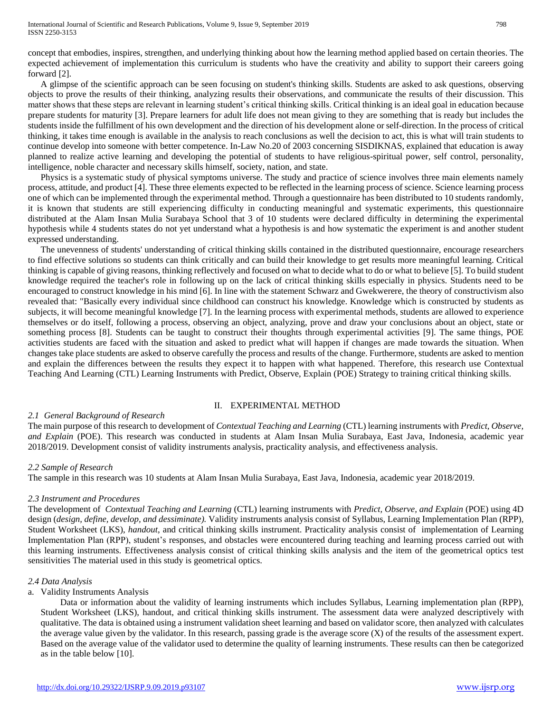concept that embodies, inspires, strengthen, and underlying thinking about how the learning method applied based on certain theories. The expected achievement of implementation this curriculum is students who have the creativity and ability to support their careers going forward [2].

A glimpse of the scientific approach can be seen focusing on student's thinking skills. Students are asked to ask questions, observing objects to prove the results of their thinking, analyzing results their observations, and communicate the results of their discussion. This matter shows that these steps are relevant in learning student's critical thinking skills. Critical thinking is an ideal goal in education because prepare students for maturity [3]. Prepare learners for adult life does not mean giving to they are something that is ready but includes the students inside the fulfillment of his own development and the direction of his development alone or self-direction. In the process of critical thinking, it takes time enough is available in the analysis to reach conclusions as well the decision to act, this is what will train students to continue develop into someone with better competence. In-Law No.20 of 2003 concerning SISDIKNAS, explained that education is away planned to realize active learning and developing the potential of students to have religious-spiritual power, self control, personality, intelligence, noble character and necessary skills himself, society, nation, and state.

Physics is a systematic study of physical symptoms universe. The study and practice of science involves three main elements namely process, attitude, and product [4]. These three elements expected to be reflected in the learning process of science. Science learning process one of which can be implemented through the experimental method. Through a questionnaire has been distributed to 10 students randomly, it is known that students are still experiencing difficulty in conducting meaningful and systematic experiments, this questionnaire distributed at the Alam Insan Mulia Surabaya School that 3 of 10 students were declared difficulty in determining the experimental hypothesis while 4 students states do not yet understand what a hypothesis is and how systematic the experiment is and another student expressed understanding.

The unevenness of students' understanding of critical thinking skills contained in the distributed questionnaire, encourage researchers to find effective solutions so students can think critically and can build their knowledge to get results more meaningful learning. Critical thinking is capable of giving reasons, thinking reflectively and focused on what to decide what to do or what to believe [5]. To build student knowledge required the teacher's role in following up on the lack of critical thinking skills especially in physics. Students need to be encouraged to construct knowledge in his mind [6]. In line with the statement Schwarz and Gwekwerere, the theory of constructivism also revealed that: "Basically every individual since childhood can construct his knowledge. Knowledge which is constructed by students as subjects, it will become meaningful knowledge [7]. In the learning process with experimental methods, students are allowed to experience themselves or do itself, following a process, observing an object, analyzing, prove and draw your conclusions about an object, state or something process [8]. Students can be taught to construct their thoughts through experimental activities [9]. The same things, POE activities students are faced with the situation and asked to predict what will happen if changes are made towards the situation. When changes take place students are asked to observe carefully the process and results of the change. Furthermore, students are asked to mention and explain the differences between the results they expect it to happen with what happened. Therefore, this research use Contextual Teaching And Learning (CTL) Learning Instruments with Predict, Observe, Explain (POE) Strategy to training critical thinking skills.

# II. EXPERIMENTAL METHOD

# *2.1 General Background of Research*

The main purpose of this research to development of *Contextual Teaching and Learning* (CTL) learning instruments with *Predict, Observe, and Explain* (POE). This research was conducted in students at Alam Insan Mulia Surabaya, East Java, Indonesia, academic year 2018/2019. Development consist of validity instruments analysis, practicality analysis, and effectiveness analysis.

# *2.2 Sample of Research*

The sample in this research was 10 students at Alam Insan Mulia Surabaya, East Java, Indonesia, academic year 2018/2019.

# *2.3 Instrument and Procedures*

The development of *Contextual Teaching and Learning* (CTL) learning instruments with *Predict, Observe, and Explain* (POE) using 4D design (*design, define, develop, and dessiminate).* Validity instruments analysis consist of Syllabus, Learning Implementation Plan (RPP), Student Worksheet (LKS), *handout*, and critical thinking skills instrument. Practicality analysis consist of implementation of Learning Implementation Plan (RPP), student's responses, and obstacles were encountered during teaching and learning process carried out with this learning instruments. Effectiveness analysis consist of critical thinking skills analysis and the item of the geometrical optics test sensitivities The material used in this study is geometrical optics.

# *2.4 Data Analysis*

# a. Validity Instruments Analysis

Data or information about the validity of learning instruments which includes Syllabus, Learning implementation plan (RPP), Student Worksheet (LKS), handout, and critical thinking skills instrument. The assessment data were analyzed descriptively with qualitative. The data is obtained using a instrument validation sheet learning and based on validator score, then analyzed with calculates the average value given by the validator. In this research, passing grade is the average score (X) of the results of the assessment expert. Based on the average value of the validator used to determine the quality of learning instruments. These results can then be categorized as in the table below [10].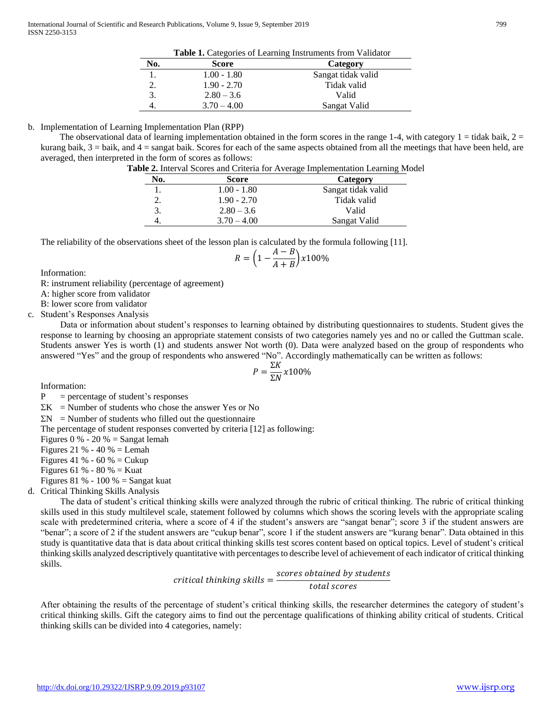|     | <b>Table 1.</b> Categories of Learning Instruments from Validator |                    |  |
|-----|-------------------------------------------------------------------|--------------------|--|
| No. | Score                                                             | Category           |  |
|     | $1.00 - 1.80$                                                     | Sangat tidak valid |  |
| 2.  | $1.90 - 2.70$                                                     | Tidak valid        |  |
| 3.  | $2.80 - 3.6$                                                      | Valid              |  |
|     | $3.70 - 4.00$                                                     | Sangat Valid       |  |

b. Implementation of Learning Implementation Plan (RPP) The observational data of learning implementation obtained in the form scores in the range 1-4, with category  $1 = \text{tidak baik}$ ,  $2 =$ kurang baik,  $3 =$  baik, and  $4 =$  sangat baik. Scores for each of the same aspects obtained from all the meetings that have been held, are averaged, then interpreted in the form of scores as follows:

| $\sim$ . The distribution of the control and the control of $\sim$ |             |                                                                                |  |
|--------------------------------------------------------------------|-------------|--------------------------------------------------------------------------------|--|
|                                                                    |             | Table 2. Interval Scores and Criteria for Average Implementation Learning Mode |  |
| No.                                                                | Score       | Category                                                                       |  |
|                                                                    | LOO - 1.80. | Sangat tidak valid                                                             |  |

|    | $1.00 - 1.80$ | Sangat tidak valid |
|----|---------------|--------------------|
| 2. | $1.90 - 2.70$ | Tidak valid        |
| 3. | $2.80 - 3.6$  | Valid              |
|    | $3.70 - 4.00$ | Sangat Valid       |

The reliability of the observations sheet of the lesson plan is calculated by the formula following [11].

$$
R = \left(1 - \frac{A - B}{A + B}\right) \times 100\%
$$

Information:

R: instrument reliability (percentage of agreement)

A: higher score from validator

B: lower score from validator

c. Student's Responses Analysis

Data or information about student's responses to learning obtained by distributing questionnaires to students. Student gives the response to learning by choosing an appropriate statement consists of two categories namely yes and no or called the Guttman scale. Students answer Yes is worth (1) and students answer Not worth (0). Data were analyzed based on the group of respondents who answered "Yes" and the group of respondents who answered "No". Accordingly mathematically can be written as follows:

$$
P = \frac{\Sigma K}{\Sigma N} x 100\%
$$

Information:

 $P =$  percentage of student's responses

 $\Sigma K$  = Number of students who chose the answer Yes or No

 $\Sigma N$  = Number of students who filled out the questionnaire

The percentage of student responses converted by criteria [12] as following:

Figures  $0\%$  -  $20\%$  = Sangat lemah

Figures 21 % - 40 % = Lemah

Figures 41 % - 60 % = Cukup

Figures 61 % - 80 % = Kuat

Figures 81 % - 100 % = Sangat kuat

d. Critical Thinking Skills Analysis

The data of student's critical thinking skills were analyzed through the rubric of critical thinking. The rubric of critical thinking skills used in this study multilevel scale, statement followed by columns which shows the scoring levels with the appropriate scaling scale with predetermined criteria, where a score of 4 if the student's answers are "sangat benar"; score 3 if the student answers are "benar"; a score of 2 if the student answers are "cukup benar", score 1 if the student answers are "kurang benar". Data obtained in this study is quantitative data that is data about critical thinking skills test scores content based on optical topics. Level of student's critical thinking skills analyzed descriptively quantitative with percentages to describe level of achievement of each indicator of critical thinking skills.

> critical thinking skills  $=\frac{scores~obtained~by~students}{\sqrt{1-\frac{1}{c}}$ total scores

After obtaining the results of the percentage of student's critical thinking skills, the researcher determines the category of student's critical thinking skills. Gift the category aims to find out the percentage qualifications of thinking ability critical of students. Critical thinking skills can be divided into 4 categories, namely: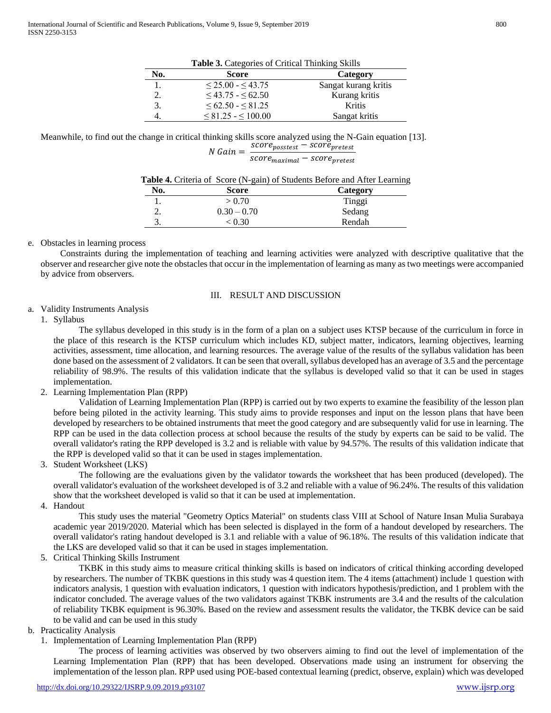| Table 3. Categories of Critical Thinking Skills |                             |                      |  |
|-------------------------------------------------|-----------------------------|----------------------|--|
| No.                                             | <b>Score</b>                | Category             |  |
|                                                 | $\leq$ 25.00 - $\leq$ 43.75 | Sangat kurang kritis |  |
| 2.                                              | $\leq$ 43.75 - $\leq$ 62.50 | Kurang kritis        |  |
| 3.                                              | $<62.50 - < 81.25$          | Kritis               |  |
|                                                 | $\leq 81.25 - \leq 100.00$  | Sangat kritis        |  |

Meanwhile, to find out the change in critical thinking skills score analyzed using the N-Gain equation [13].

 $N$  Gain =  $\frac{score_{possest} - score_{pretest}}{sqrt{score_{pretest}}}$ score<sub>maximal</sub> – score<sub>pretest</sub>

|  |  | Table 4. Criteria of Score (N-gain) of Students Before and After Learning |  |  |
|--|--|---------------------------------------------------------------------------|--|--|
|  |  |                                                                           |  |  |

| No. | Score         | Category |  |
|-----|---------------|----------|--|
|     | > 0.70        | Tinggi   |  |
| ـ.  | $0.30 - 0.70$ | Sedang   |  |
|     | < 0.30        | Rendah   |  |

# e. Obstacles in learning process

Constraints during the implementation of teaching and learning activities were analyzed with descriptive qualitative that the observer and researcher give note the obstacles that occur in the implementation of learning as many as two meetings were accompanied by advice from observers.

# III. RESULT AND DISCUSSION

# a. Validity Instruments Analysis

1. Syllabus

The syllabus developed in this study is in the form of a plan on a subject uses KTSP because of the curriculum in force in the place of this research is the KTSP curriculum which includes KD, subject matter, indicators, learning objectives, learning activities, assessment, time allocation, and learning resources. The average value of the results of the syllabus validation has been done based on the assessment of 2 validators. It can be seen that overall, syllabus developed has an average of 3.5 and the percentage reliability of 98.9%. The results of this validation indicate that the syllabus is developed valid so that it can be used in stages implementation.

# 2. Learning Implementation Plan (RPP)

Validation of Learning Implementation Plan (RPP) is carried out by two experts to examine the feasibility of the lesson plan before being piloted in the activity learning. This study aims to provide responses and input on the lesson plans that have been developed by researchers to be obtained instruments that meet the good category and are subsequently valid for use in learning. The RPP can be used in the data collection process at school because the results of the study by experts can be said to be valid. The overall validator's rating the RPP developed is 3.2 and is reliable with value by 94.57%. The results of this validation indicate that the RPP is developed valid so that it can be used in stages implementation.

# 3. Student Worksheet (LKS)

The following are the evaluations given by the validator towards the worksheet that has been produced (developed). The overall validator's evaluation of the worksheet developed is of 3.2 and reliable with a value of 96.24%. The results of this validation show that the worksheet developed is valid so that it can be used at implementation.

4. Handout

This study uses the material "Geometry Optics Material" on students class VIII at School of Nature Insan Mulia Surabaya academic year 2019/2020. Material which has been selected is displayed in the form of a handout developed by researchers. The overall validator's rating handout developed is 3.1 and reliable with a value of 96.18%. The results of this validation indicate that the LKS are developed valid so that it can be used in stages implementation.

# 5. Critical Thinking Skills Instrument

TKBK in this study aims to measure critical thinking skills is based on indicators of critical thinking according developed by researchers. The number of TKBK questions in this study was 4 question item. The 4 items (attachment) include 1 question with indicators analysis, 1 question with evaluation indicators, 1 question with indicators hypothesis/prediction, and 1 problem with the indicator concluded. The average values of the two validators against TKBK instruments are 3.4 and the results of the calculation of reliability TKBK equipment is 96.30%. Based on the review and assessment results the validator, the TKBK device can be said to be valid and can be used in this study

# b. Practicality Analysis

1. Implementation of Learning Implementation Plan (RPP)

The process of learning activities was observed by two observers aiming to find out the level of implementation of the Learning Implementation Plan (RPP) that has been developed. Observations made using an instrument for observing the implementation of the lesson plan. RPP used using POE-based contextual learning (predict, observe, explain) which was developed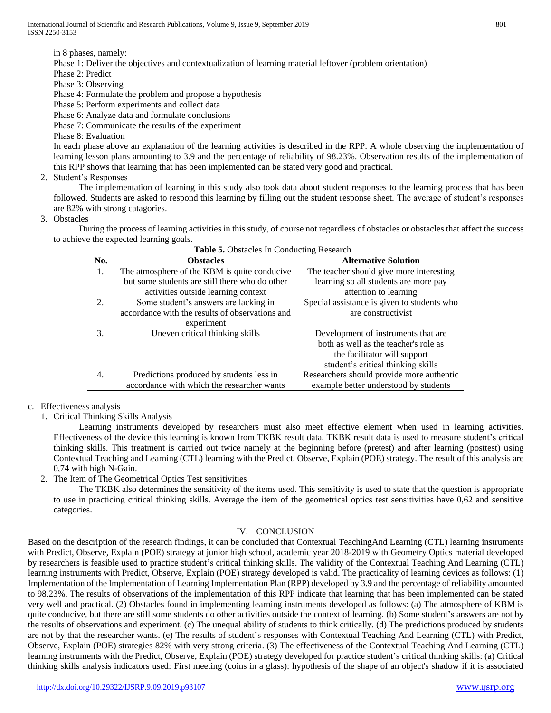International Journal of Scientific and Research Publications, Volume 9, Issue 9, September 2019 801 ISSN 2250-3153

in 8 phases, namely:

Phase 1: Deliver the objectives and contextualization of learning material leftover (problem orientation)

Phase 2: Predict

Phase 3: Observing

Phase 4: Formulate the problem and propose a hypothesis

Phase 5: Perform experiments and collect data

Phase 6: Analyze data and formulate conclusions

Phase 7: Communicate the results of the experiment

Phase 8: Evaluation

In each phase above an explanation of the learning activities is described in the RPP. A whole observing the implementation of learning lesson plans amounting to 3.9 and the percentage of reliability of 98.23%. Observation results of the implementation of this RPP shows that learning that has been implemented can be stated very good and practical.

2. Student's Responses

The implementation of learning in this study also took data about student responses to the learning process that has been followed. Students are asked to respond this learning by filling out the student response sheet. The average of student's responses are 82% with strong catagories.

3. Obstacles

During the process of learning activities in this study, of course not regardless of obstacles or obstacles that affect the success to achieve the expected learning goals.

| Table 5. Obstacles In Conducting Research |                                                 |                                             |  |  |
|-------------------------------------------|-------------------------------------------------|---------------------------------------------|--|--|
| No.                                       | <b>Obstacles</b>                                | <b>Alternative Solution</b>                 |  |  |
| 1.                                        | The atmosphere of the KBM is quite conducive    | The teacher should give more interesting    |  |  |
|                                           | but some students are still there who do other  | learning so all students are more pay       |  |  |
|                                           | activities outside learning context             | attention to learning                       |  |  |
| 2.                                        | Some student's answers are lacking in           | Special assistance is given to students who |  |  |
|                                           | accordance with the results of observations and | are constructivist.                         |  |  |
|                                           | experiment                                      |                                             |  |  |
| 3.                                        | Uneven critical thinking skills                 | Development of instruments that are         |  |  |
|                                           |                                                 | both as well as the teacher's role as       |  |  |
|                                           |                                                 | the facilitator will support                |  |  |
|                                           |                                                 | student's critical thinking skills          |  |  |
| 4.                                        | Predictions produced by students less in        | Researchers should provide more authentic   |  |  |
|                                           | accordance with which the researcher wants      | example better understood by students       |  |  |

# c. Effectiveness analysis

1. Critical Thinking Skills Analysis

Learning instruments developed by researchers must also meet effective element when used in learning activities. Effectiveness of the device this learning is known from TKBK result data. TKBK result data is used to measure student's critical thinking skills. This treatment is carried out twice namely at the beginning before (pretest) and after learning (posttest) using Contextual Teaching and Learning (CTL) learning with the Predict, Observe, Explain (POE) strategy. The result of this analysis are 0,74 with high N-Gain.

2. The Item of The Geometrical Optics Test sensitivities

The TKBK also determines the sensitivity of the items used. This sensitivity is used to state that the question is appropriate to use in practicing critical thinking skills. Average the item of the geometrical optics test sensitivities have 0,62 and sensitive categories.

# IV. CONCLUSION

Based on the description of the research findings, it can be concluded that Contextual TeachingAnd Learning (CTL) learning instruments with Predict, Observe, Explain (POE) strategy at junior high school, academic year 2018-2019 with Geometry Optics material developed by researchers is feasible used to practice student's critical thinking skills. The validity of the Contextual Teaching And Learning (CTL) learning instruments with Predict, Observe, Explain (POE) strategy developed is valid. The practicality of learning devices as follows: (1) Implementation of the Implementation of Learning Implementation Plan (RPP) developed by 3.9 and the percentage of reliability amounted to 98.23%. The results of observations of the implementation of this RPP indicate that learning that has been implemented can be stated very well and practical. (2) Obstacles found in implementing learning instruments developed as follows: (a) The atmosphere of KBM is quite conducive, but there are still some students do other activities outside the context of learning. (b) Some student's answers are not by the results of observations and experiment. (c) The unequal ability of students to think critically. (d) The predictions produced by students are not by that the researcher wants. (e) The results of student's responses with Contextual Teaching And Learning (CTL) with Predict, Observe, Explain (POE) strategies 82% with very strong criteria. (3) The effectiveness of the Contextual Teaching And Learning (CTL) learning instruments with the Predict, Observe, Explain (POE) strategy developed for practice student's critical thinking skills: (a) Critical thinking skills analysis indicators used: First meeting (coins in a glass): hypothesis of the shape of an object's shadow if it is associated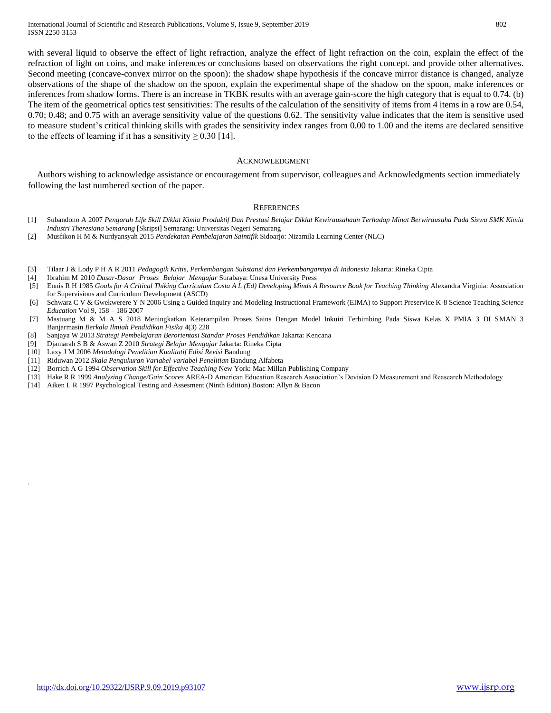with several liquid to observe the effect of light refraction, analyze the effect of light refraction on the coin, explain the effect of the refraction of light on coins, and make inferences or conclusions based on observations the right concept. and provide other alternatives. Second meeting (concave-convex mirror on the spoon): the shadow shape hypothesis if the concave mirror distance is changed, analyze observations of the shape of the shadow on the spoon, explain the experimental shape of the shadow on the spoon, make inferences or inferences from shadow forms. There is an increase in TKBK results with an average gain-score the high category that is equal to 0.74. (b) The item of the geometrical optics test sensitivities: The results of the calculation of the sensitivity of items from 4 items in a row are 0.54, 0.70; 0.48; and 0.75 with an average sensitivity value of the questions 0.62. The sensitivity value indicates that the item is sensitive used to measure student's critical thinking skills with grades the sensitivity index ranges from 0.00 to 1.00 and the items are declared sensitive to the effects of learning if it has a sensitivity  $\geq 0.30$  [14].

#### ACKNOWLEDGMENT

Authors wishing to acknowledge assistance or encouragement from supervisor, colleagues and Acknowledgments section immediately following the last numbered section of the paper.

#### **REFERENCES**

- [1] Subandono A 2007 *Pengaruh Life Skill Diklat Kimia Produktif Dan Prestasi Belajar Diklat Kewirausahaan Terhadap Minat Berwirausaha Pada Siswa SMK Kimia Industri Theresiana Semarang* [Skripsi] Semarang: Universitas Negeri Semarang
- [2] Musfikon H M & Nurdyansyah 2015 *Pendekatan Pembelajaran Saintifik* Sidoarjo: Nizamila Learning Center (NLC)
- [3] Tilaar J & Lody P H A R 2011 *Pedagogik Kritis, Perkembangan Substansi dan Perkembangannya di Indonesia* Jakarta: Rineka Cipta
- [4] Ibrahim M 2010 *Dasar-Dasar Proses Belajar Mengajar* Surabaya: Unesa University Press
- [5] Ennis R H 1985 *Goals for A Critical Thiking Curriculum Costa A L (Ed) Developing Minds A Resource Book for Teaching Thinking* Alexandra Virginia: Assosiation for Supervisions and Curriculum Development (ASCD)
- [6] Schwarz C V & Gwekwerere Y N 2006 Using a Guided Inquiry and Modeling Instructional Framework (EIMA) to Support Preservice K-8 Science Teaching *Science Education* Vol 9, 158 – 186 2007
- [7] Mastuang M & M A S 2018 Meningkatkan Keterampilan Proses Sains Dengan Model Inkuiri Terbimbing Pada Siswa Kelas X PMIA 3 DI SMAN 3 Banjarmasin *Berkala Ilmiah Pendidikan Fisika* 4(3) 228
- [8] Sanjaya W 2013 *Strategi Pembelajaran Berorientasi Standar Proses Pendidikan* Jakarta: Kencana
- [9] Djamarah S B & Aswan Z 2010 *Strategi Belajar Mengajar* Jakarta: Rineka Cipta
- [10] Lexy J M 2006 *Metodologi Penelitian Kualitatif Edisi Revisi* Bandung
- [11] Riduwan 2012 *Skala Pengukuran Variabel-variabel Penelitian* Bandung Alfabeta
- [12] Borrich A G 1994 *Observation Skill for Effective Teaching* New York: Mac Millan Publishing Company
- [13] Hake R R 1999 *Analyzing Change/Gain Scores* AREA-D American Education Research Association's Devision D Measurement and Reasearch Methodology
- [14] Aiken L R 1997 Psychological Testing and Assesment (Ninth Edition) Boston: Allyn & Bacon

.